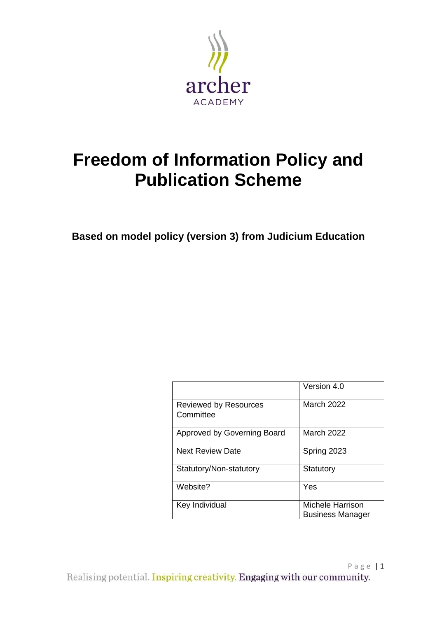

# **Freedom of Information Policy and Publication Scheme**

**Based on model policy (version 3) from Judicium Education** 

|                                           | Version 4.0                                 |
|-------------------------------------------|---------------------------------------------|
| <b>Reviewed by Resources</b><br>Committee | March 2022                                  |
| Approved by Governing Board               | <b>March 2022</b>                           |
| <b>Next Review Date</b>                   | Spring 2023                                 |
| Statutory/Non-statutory                   | Statutory                                   |
| Website?                                  | Yes                                         |
| Key Individual                            | Michele Harrison<br><b>Business Manager</b> |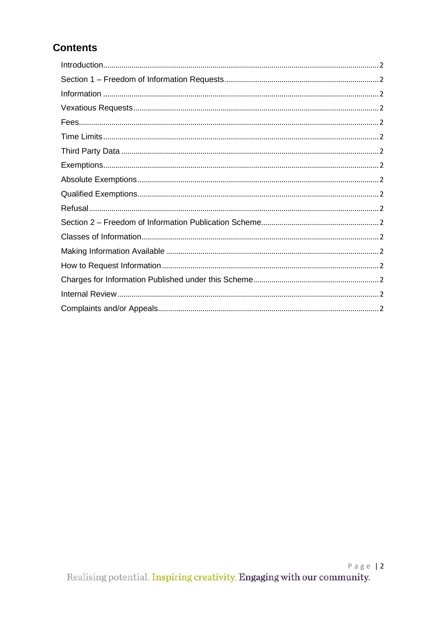# **Contents**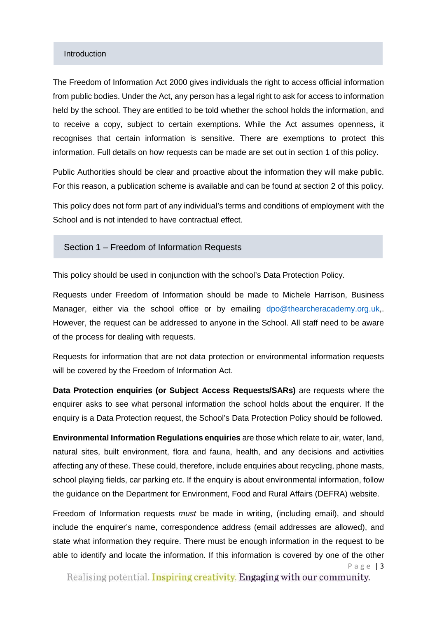#### Introduction

The Freedom of Information Act 2000 gives individuals the right to access official information from public bodies. Under the Act, any person has a legal right to ask for access to information held by the school. They are entitled to be told whether the school holds the information, and to receive a copy, subject to certain exemptions. While the Act assumes openness, it recognises that certain information is sensitive. There are exemptions to protect this information. Full details on how requests can be made are set out in section 1 of this policy.

Public Authorities should be clear and proactive about the information they will make public. For this reason, a publication scheme is available and can be found at section 2 of this policy.

This policy does not form part of any individual's terms and conditions of employment with the School and is not intended to have contractual effect.

Section 1 – Freedom of Information Requests

This policy should be used in conjunction with the school's Data Protection Policy.

Requests under Freedom of Information should be made to Michele Harrison, Business Manager, either via the school office or by emailing [dpo@thearcheracademy.org.uk,](mailto:dpo@thearcheracademy.org.uk). However, the request can be addressed to anyone in the School. All staff need to be aware of the process for dealing with requests.

Requests for information that are not data protection or environmental information requests will be covered by the Freedom of Information Act.

**Data Protection enquiries (or Subject Access Requests/SARs)** are requests where the enquirer asks to see what personal information the school holds about the enquirer. If the enquiry is a Data Protection request, the School's Data Protection Policy should be followed.

**Environmental Information Regulations enquiries** are those which relate to air, water, land, natural sites, built environment, flora and fauna, health, and any decisions and activities affecting any of these. These could, therefore, include enquiries about recycling, phone masts, school playing fields, car parking etc. If the enquiry is about environmental information, follow the guidance on the Department for Environment, Food and Rural Affairs (DEFRA) website.

Page | 3 Freedom of Information requests *must* be made in writing, (including email), and should include the enquirer's name, correspondence address (email addresses are allowed), and state what information they require. There must be enough information in the request to be able to identify and locate the information. If this information is covered by one of the other

Realising potential. Inspiring creativity. Engaging with our community.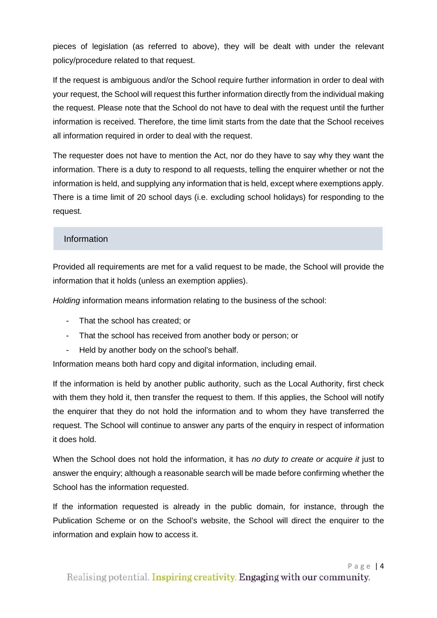pieces of legislation (as referred to above), they will be dealt with under the relevant policy/procedure related to that request.

If the request is ambiguous and/or the School require further information in order to deal with your request, the School will request this further information directly from the individual making the request. Please note that the School do not have to deal with the request until the further information is received. Therefore, the time limit starts from the date that the School receives all information required in order to deal with the request.

The requester does not have to mention the Act, nor do they have to say why they want the information. There is a duty to respond to all requests, telling the enquirer whether or not the information is held, and supplying any information that is held, except where exemptions apply. There is a time limit of 20 school days (i.e. excluding school holidays) for responding to the request.

## Information

Provided all requirements are met for a valid request to be made, the School will provide the information that it holds (unless an exemption applies).

*Holding* information means information relating to the business of the school:

- That the school has created; or
- That the school has received from another body or person; or
- Held by another body on the school's behalf.

Information means both hard copy and digital information, including email.

If the information is held by another public authority, such as the Local Authority, first check with them they hold it, then transfer the request to them. If this applies, the School will notify the enquirer that they do not hold the information and to whom they have transferred the request. The School will continue to answer any parts of the enquiry in respect of information it does hold.

When the School does not hold the information, it has *no duty to create or acquire it* just to answer the enquiry; although a reasonable search will be made before confirming whether the School has the information requested.

If the information requested is already in the public domain, for instance, through the Publication Scheme or on the School's website, the School will direct the enquirer to the information and explain how to access it.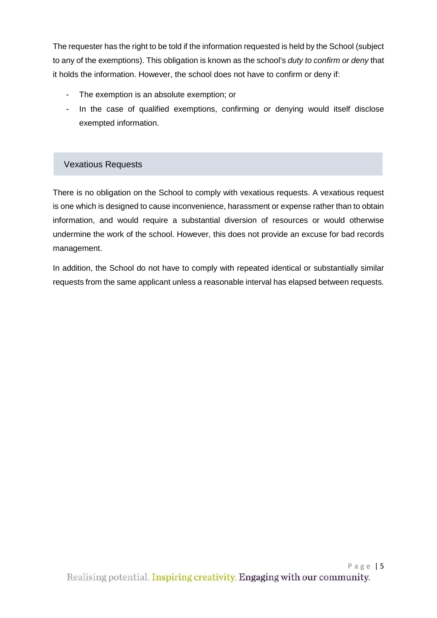The requester has the right to be told if the information requested is held by the School (subject to any of the exemptions). This obligation is known as the school's *duty to confirm or deny* that it holds the information. However, the school does not have to confirm or deny if:

- The exemption is an absolute exemption; or
- In the case of qualified exemptions, confirming or denying would itself disclose exempted information.

# Vexatious Requests

There is no obligation on the School to comply with vexatious requests. A vexatious request is one which is designed to cause inconvenience, harassment or expense rather than to obtain information, and would require a substantial diversion of resources or would otherwise undermine the work of the school. However, this does not provide an excuse for bad records management.

In addition, the School do not have to comply with repeated identical or substantially similar requests from the same applicant unless a reasonable interval has elapsed between requests.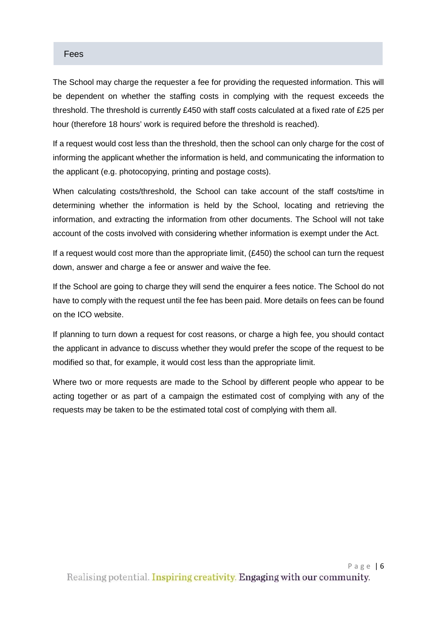#### Fees

The School may charge the requester a fee for providing the requested information. This will be dependent on whether the staffing costs in complying with the request exceeds the threshold. The threshold is currently £450 with staff costs calculated at a fixed rate of £25 per hour (therefore 18 hours' work is required before the threshold is reached).

If a request would cost less than the threshold, then the school can only charge for the cost of informing the applicant whether the information is held, and communicating the information to the applicant (e.g. photocopying, printing and postage costs).

When calculating costs/threshold, the School can take account of the staff costs/time in determining whether the information is held by the School, locating and retrieving the information, and extracting the information from other documents. The School will not take account of the costs involved with considering whether information is exempt under the Act.

If a request would cost more than the appropriate limit,  $(E450)$  the school can turn the request down, answer and charge a fee or answer and waive the fee.

If the School are going to charge they will send the enquirer a fees notice. The School do not have to comply with the request until the fee has been paid. More details on fees can be found on the ICO website.

If planning to turn down a request for cost reasons, or charge a high fee, you should contact the applicant in advance to discuss whether they would prefer the scope of the request to be modified so that, for example, it would cost less than the appropriate limit.

Where two or more requests are made to the School by different people who appear to be acting together or as part of a campaign the estimated cost of complying with any of the requests may be taken to be the estimated total cost of complying with them all.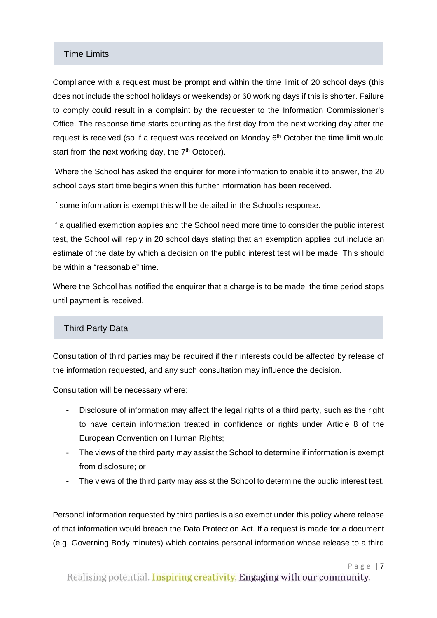#### Time Limits

Compliance with a request must be prompt and within the time limit of 20 school days (this does not include the school holidays or weekends) or 60 working days if this is shorter. Failure to comply could result in a complaint by the requester to the Information Commissioner's Office. The response time starts counting as the first day from the next working day after the request is received (so if a request was received on Monday  $6<sup>th</sup>$  October the time limit would start from the next working day, the  $7<sup>th</sup>$  October).

Where the School has asked the enquirer for more information to enable it to answer, the 20 school days start time begins when this further information has been received.

If some information is exempt this will be detailed in the School's response.

If a qualified exemption applies and the School need more time to consider the public interest test, the School will reply in 20 school days stating that an exemption applies but include an estimate of the date by which a decision on the public interest test will be made. This should be within a "reasonable" time.

Where the School has notified the enquirer that a charge is to be made, the time period stops until payment is received.

#### Third Party Data

Consultation of third parties may be required if their interests could be affected by release of the information requested, and any such consultation may influence the decision.

Consultation will be necessary where:

- Disclosure of information may affect the legal rights of a third party, such as the right to have certain information treated in confidence or rights under Article 8 of the European Convention on Human Rights;
- The views of the third party may assist the School to determine if information is exempt from disclosure; or
- The views of the third party may assist the School to determine the public interest test.

Personal information requested by third parties is also exempt under this policy where release of that information would breach the Data Protection Act. If a request is made for a document (e.g. Governing Body minutes) which contains personal information whose release to a third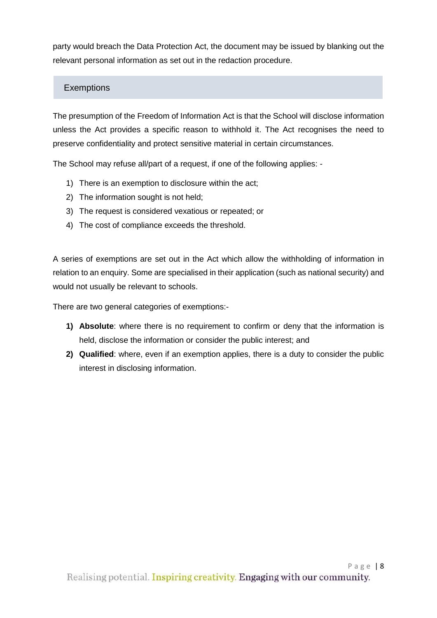party would breach the Data Protection Act, the document may be issued by blanking out the relevant personal information as set out in the redaction procedure.

# **Exemptions**

The presumption of the Freedom of Information Act is that the School will disclose information unless the Act provides a specific reason to withhold it. The Act recognises the need to preserve confidentiality and protect sensitive material in certain circumstances.

The School may refuse all/part of a request, if one of the following applies: -

- 1) There is an exemption to disclosure within the act;
- 2) The information sought is not held;
- 3) The request is considered vexatious or repeated; or
- 4) The cost of compliance exceeds the threshold.

A series of exemptions are set out in the Act which allow the withholding of information in relation to an enquiry. Some are specialised in their application (such as national security) and would not usually be relevant to schools.

There are two general categories of exemptions:-

- **1) Absolute**: where there is no requirement to confirm or deny that the information is held, disclose the information or consider the public interest; and
- **2) Qualified**: where, even if an exemption applies, there is a duty to consider the public interest in disclosing information.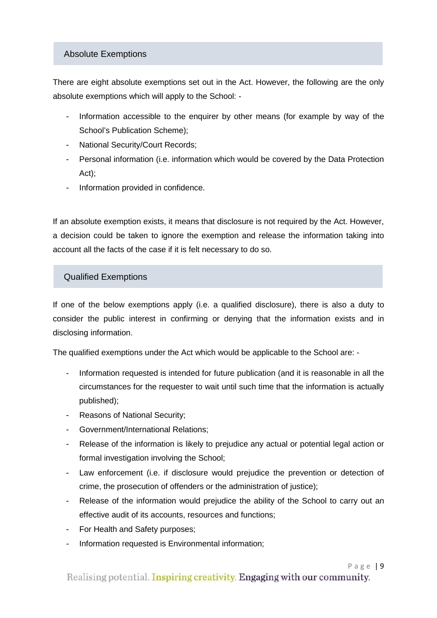#### Absolute Exemptions

There are eight absolute exemptions set out in the Act. However, the following are the only absolute exemptions which will apply to the School: -

- Information accessible to the enquirer by other means (for example by way of the School's Publication Scheme);
- National Security/Court Records;
- Personal information (i.e. information which would be covered by the Data Protection Act);
- Information provided in confidence.

If an absolute exemption exists, it means that disclosure is not required by the Act. However, a decision could be taken to ignore the exemption and release the information taking into account all the facts of the case if it is felt necessary to do so.

## Qualified Exemptions

If one of the below exemptions apply (i.e. a qualified disclosure), there is also a duty to consider the public interest in confirming or denying that the information exists and in disclosing information.

The qualified exemptions under the Act which would be applicable to the School are: -

- Information requested is intended for future publication (and it is reasonable in all the circumstances for the requester to wait until such time that the information is actually published);
- Reasons of National Security;
- Government/International Relations;
- Release of the information is likely to prejudice any actual or potential legal action or formal investigation involving the School;
- Law enforcement (i.e. if disclosure would prejudice the prevention or detection of crime, the prosecution of offenders or the administration of justice);
- Release of the information would prejudice the ability of the School to carry out an effective audit of its accounts, resources and functions;
- For Health and Safety purposes;
- Information requested is Environmental information: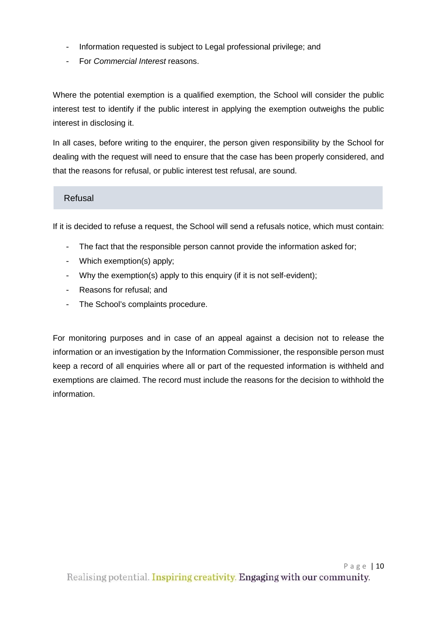- Information requested is subject to Legal professional privilege; and
- For *Commercial Interest* reasons.

Where the potential exemption is a qualified exemption, the School will consider the public interest test to identify if the public interest in applying the exemption outweighs the public interest in disclosing it.

In all cases, before writing to the enquirer, the person given responsibility by the School for dealing with the request will need to ensure that the case has been properly considered, and that the reasons for refusal, or public interest test refusal, are sound.

#### Refusal

If it is decided to refuse a request, the School will send a refusals notice, which must contain:

- The fact that the responsible person cannot provide the information asked for:
- Which exemption(s) apply;
- Why the exemption(s) apply to this enquiry (if it is not self-evident);
- Reasons for refusal; and
- The School's complaints procedure.

For monitoring purposes and in case of an appeal against a decision not to release the information or an investigation by the Information Commissioner, the responsible person must keep a record of all enquiries where all or part of the requested information is withheld and exemptions are claimed. The record must include the reasons for the decision to withhold the information.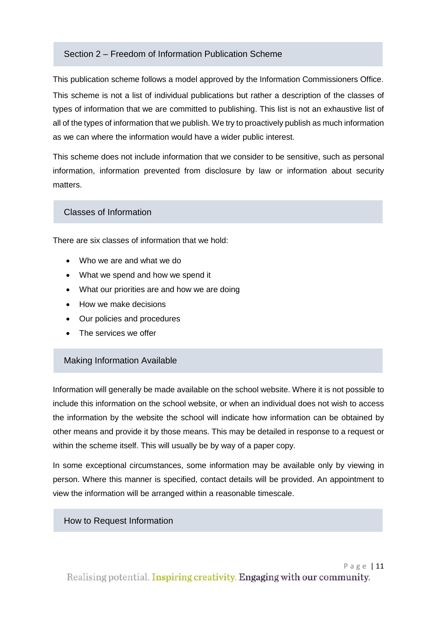#### Section 2 – Freedom of Information Publication Scheme

This publication scheme follows a model approved by the Information Commissioners Office. This scheme is not a list of individual publications but rather a description of the classes of types of information that we are committed to publishing. This list is not an exhaustive list of all of the types of information that we publish. We try to proactively publish as much information as we can where the information would have a wider public interest.

This scheme does not include information that we consider to be sensitive, such as personal information, information prevented from disclosure by law or information about security matters.

#### Classes of Information

There are six classes of information that we hold:

- Who we are and what we do
- What we spend and how we spend it
- What our priorities are and how we are doing
- How we make decisions
- Our policies and procedures
- The services we offer

#### Making Information Available

Information will generally be made available on the school website. Where it is not possible to include this information on the school website, or when an individual does not wish to access the information by the website the school will indicate how information can be obtained by other means and provide it by those means. This may be detailed in response to a request or within the scheme itself. This will usually be by way of a paper copy.

In some exceptional circumstances, some information may be available only by viewing in person. Where this manner is specified, contact details will be provided. An appointment to view the information will be arranged within a reasonable timescale.

#### How to Request Information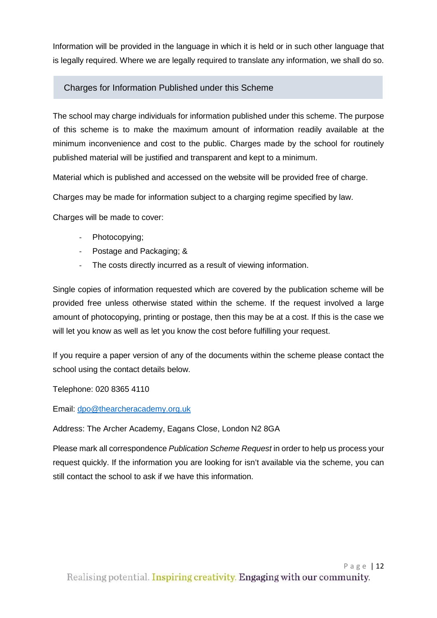Information will be provided in the language in which it is held or in such other language that is legally required. Where we are legally required to translate any information, we shall do so.

# Charges for Information Published under this Scheme

The school may charge individuals for information published under this scheme. The purpose of this scheme is to make the maximum amount of information readily available at the minimum inconvenience and cost to the public. Charges made by the school for routinely published material will be justified and transparent and kept to a minimum.

Material which is published and accessed on the website will be provided free of charge.

Charges may be made for information subject to a charging regime specified by law.

Charges will be made to cover:

- Photocopying;
- Postage and Packaging; &
- The costs directly incurred as a result of viewing information.

Single copies of information requested which are covered by the publication scheme will be provided free unless otherwise stated within the scheme. If the request involved a large amount of photocopying, printing or postage, then this may be at a cost. If this is the case we will let you know as well as let you know the cost before fulfilling your request.

If you require a paper version of any of the documents within the scheme please contact the school using the contact details below.

Telephone: 020 8365 4110

Email: [dpo@thearcheracademy.org.uk](mailto:dpo@thearcheracademy.org.uk)

Address: The Archer Academy, Eagans Close, London N2 8GA

Please mark all correspondence *Publication Scheme Request* in order to help us process your request quickly. If the information you are looking for isn't available via the scheme, you can still contact the school to ask if we have this information.